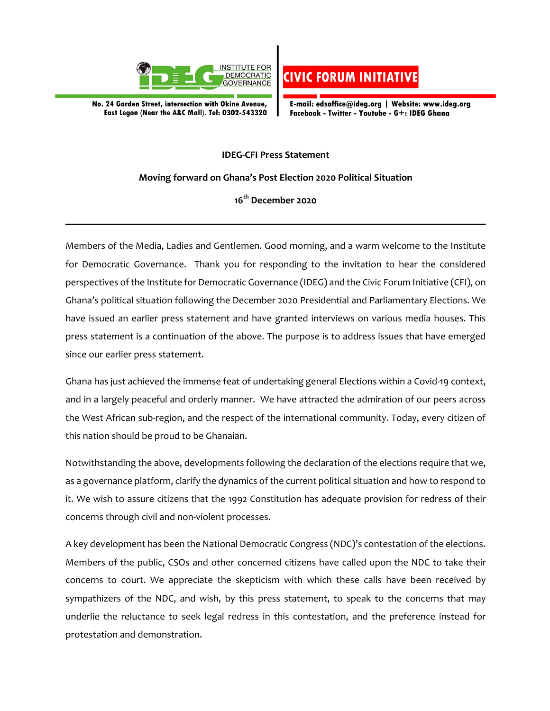

No. 24 Garden Street, intersection with Okine Avenue, East Legon (Near the A&C Mall). Tel: 0302-543320



E-mail: edsoffice@ideg.org | Website: www.ideg.org Facebook - Twitter - Youtube - G+: IDEG Ghana

## **IDEG-CFI Press Statement**

**Moving forward on Ghana's Post Election 2020 Political Situation** 

**16th December 2020**

Members of the Media, Ladies and Gentlemen. Good morning, and a warm welcome to the Institute for Democratic Governance. Thank you for responding to the invitation to hear the considered perspectives of the Institute for Democratic Governance (IDEG) and the Civic Forum Initiative (CFI), on Ghana's political situation following the December 2020 Presidential and Parliamentary Elections. We have issued an earlier press statement and have granted interviews on various media houses. This press statement is a continuation of the above. The purpose is to address issues that have emerged since our earlier press statement.

Ghana has just achieved the immense feat of undertaking general Elections within a Covid-19 context, and in a largely peaceful and orderly manner. We have attracted the admiration of our peers across the West African sub-region, and the respect of the international community. Today, every citizen of this nation should be proud to be Ghanaian.

Notwithstanding the above, developments following the declaration of the elections require that we, as a governance platform, clarify the dynamics of the current political situation and how to respond to it. We wish to assure citizens that the 1992 Constitution has adequate provision for redress of their concerns through civil and non-violent processes.

A key development has been the National Democratic Congress (NDC)'s contestation of the elections. Members of the public, CSOs and other concerned citizens have called upon the NDC to take their concerns to court. We appreciate the skepticism with which these calls have been received by sympathizers of the NDC, and wish, by this press statement, to speak to the concerns that may underlie the reluctance to seek legal redress in this contestation, and the preference instead for protestation and demonstration.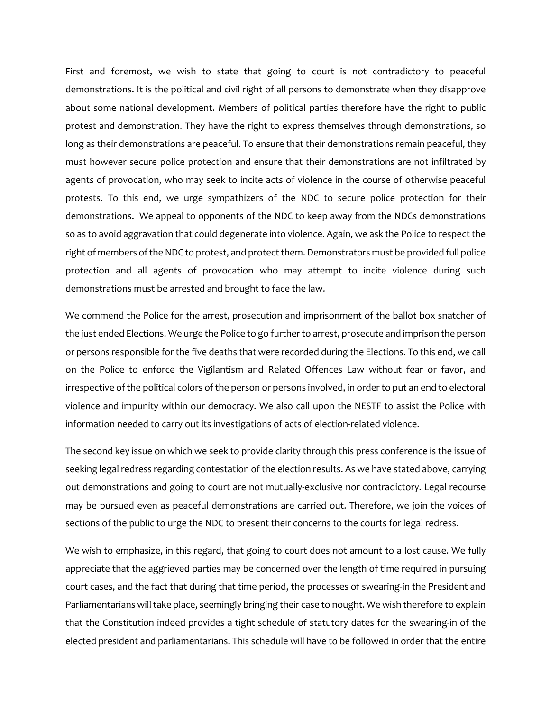First and foremost, we wish to state that going to court is not contradictory to peaceful demonstrations. It is the political and civil right of all persons to demonstrate when they disapprove about some national development. Members of political parties therefore have the right to public protest and demonstration. They have the right to express themselves through demonstrations, so long as their demonstrations are peaceful. To ensure that their demonstrations remain peaceful, they must however secure police protection and ensure that their demonstrations are not infiltrated by agents of provocation, who may seek to incite acts of violence in the course of otherwise peaceful protests. To this end, we urge sympathizers of the NDC to secure police protection for their demonstrations. We appeal to opponents of the NDC to keep away from the NDCs demonstrations so as to avoid aggravation that could degenerate into violence. Again, we ask the Police to respect the right of members of the NDC to protest, and protect them. Demonstrators must be provided full police protection and all agents of provocation who may attempt to incite violence during such demonstrations must be arrested and brought to face the law.

We commend the Police for the arrest, prosecution and imprisonment of the ballot box snatcher of the just ended Elections. We urge the Police to go further to arrest, prosecute and imprison the person or persons responsible for the five deaths that were recorded during the Elections. To this end, we call on the Police to enforce the Vigilantism and Related Offences Law without fear or favor, and irrespective of the political colors of the person or persons involved, in order to put an end to electoral violence and impunity within our democracy. We also call upon the NESTF to assist the Police with information needed to carry out its investigations of acts of election-related violence.

The second key issue on which we seek to provide clarity through this press conference is the issue of seeking legal redress regarding contestation of the election results. As we have stated above, carrying out demonstrations and going to court are not mutually-exclusive nor contradictory. Legal recourse may be pursued even as peaceful demonstrations are carried out. Therefore, we join the voices of sections of the public to urge the NDC to present their concerns to the courts for legal redress.

We wish to emphasize, in this regard, that going to court does not amount to a lost cause. We fully appreciate that the aggrieved parties may be concerned over the length of time required in pursuing court cases, and the fact that during that time period, the processes of swearing-in the President and Parliamentarians will take place, seemingly bringing their case to nought. We wish therefore to explain that the Constitution indeed provides a tight schedule of statutory dates for the swearing-in of the elected president and parliamentarians. This schedule will have to be followed in order that the entire